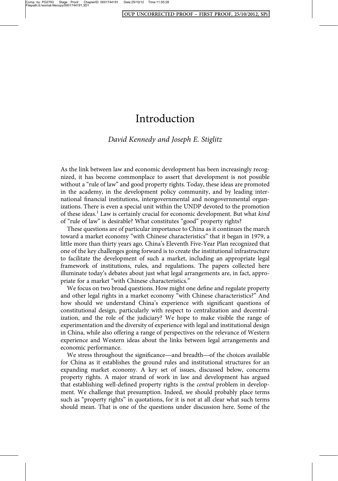# Introduction

# David Kennedy and Joseph E. Stiglitz

As the link between law and economic development has been increasingly recognized, it has become commonplace to assert that development is not possible without a "rule of law" and good property rights. Today, these ideas are promoted in the academy, in the development policy community, and by leading international financial institutions, intergovernmental and nongovernmental organizations. There is even a special unit within the UNDP devoted to the promotion of these ideas.<sup>1</sup> Law is certainly crucial for economic development. But what *kind* of "rule of law" is desirable? What constitutes "good" property rights?

These questions are of particular importance to China as it continues the march toward a market economy "with Chinese characteristics" that it began in 1979, a little more than thirty years ago. China's Eleventh Five-Year Plan recognized that one of the key challenges going forward is to create the institutional infrastructure to facilitate the development of such a market, including an appropriate legal framework of institutions, rules, and regulations. The papers collected here illuminate today's debates about just what legal arrangements are, in fact, appropriate for a market "with Chinese characteristics."

We focus on two broad questions. How might one define and regulate property and other legal rights in a market economy "with Chinese characteristics?" And how should we understand China's experience with significant questions of constitutional design, particularly with respect to centralization and decentralization, and the role of the judiciary? We hope to make visible the range of experimentation and the diversity of experience with legal and institutional design in China, while also offering a range of perspectives on the relevance of Western experience and Western ideas about the links between legal arrangements and economic performance.

We stress throughout the significance—and breadth—of the choices available for China as it establishes the ground rules and institutional structures for an expanding market economy. A key set of issues, discussed below, concerns property rights. A major strand of work in law and development has argued that establishing well-defined property rights is the *central* problem in development. We challenge that presumption. Indeed, we should probably place terms such as "property rights" in quotations, for it is not at all clear what such terms should mean. That is one of the questions under discussion here. Some of the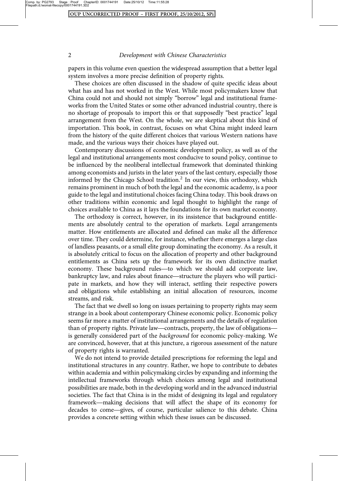## 2 Development with Chinese Characteristics

papers in this volume even question the widespread assumption that a better legal system involves a more precise definition of property rights.

These choices are often discussed in the shadow of quite specific ideas about what has and has not worked in the West. While most policymakers know that China could not and should not simply "borrow" legal and institutional frameworks from the United States or some other advanced industrial country, there is no shortage of proposals to import this or that supposedly "best practice" legal arrangement from the West. On the whole, we are skeptical about this kind of importation. This book, in contrast, focuses on what China might indeed learn from the history of the quite different choices that various Western nations have made, and the various ways their choices have played out.

Contemporary discussions of economic development policy, as well as of the legal and institutional arrangements most conducive to sound policy, continue to be influenced by the neoliberal intellectual framework that dominated thinking among economists and jurists in the later years of the last century, especially those informed by the Chicago School tradition.<sup>2</sup> In our view, this orthodoxy, which remains prominent in much of both the legal and the economic academy, is a poor guide to the legal and institutional choices facing China today. This book draws on other traditions within economic and legal thought to highlight the range of choices available to China as it lays the foundations for its own market economy.

The orthodoxy is correct, however, in its insistence that background entitlements are absolutely central to the operation of markets. Legal arrangements matter. How entitlements are allocated and defined can make all the difference over time. They could determine, for instance, whether there emerges a large class of landless peasants, or a small elite group dominating the economy. As a result, it is absolutely critical to focus on the allocation of property and other background entitlements as China sets up the framework for its own distinctive market economy. These background rules—to which we should add corporate law, bankruptcy law, and rules about finance—structure the players who will participate in markets, and how they will interact, settling their respective powers and obligations while establishing an initial allocation of resources, income streams, and risk.

The fact that we dwell so long on issues pertaining to property rights may seem strange in a book about contemporary Chinese economic policy. Economic policy seems far more a matter of institutional arrangements and the details of regulation than of property rights. Private law—contracts, property, the law of obligations is generally considered part of the background for economic policy-making. We are convinced, however, that at this juncture, a rigorous assessment of the nature of property rights is warranted.

We do not intend to provide detailed prescriptions for reforming the legal and institutional structures in any country. Rather, we hope to contribute to debates within academia and within policymaking circles by expanding and informing the intellectual frameworks through which choices among legal and institutional possibilities are made, both in the developing world and in the advanced industrial societies. The fact that China is in the midst of designing its legal and regulatory framework—making decisions that will affect the shape of its economy for decades to come—gives, of course, particular salience to this debate. China provides a concrete setting within which these issues can be discussed.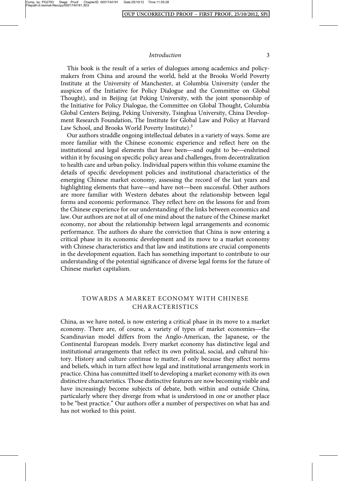## Introduction 3

This book is the result of a series of dialogues among academics and policymakers from China and around the world, held at the Brooks World Poverty Institute at the University of Manchester, at Columbia University (under the auspices of the Initiative for Policy Dialogue and the Committee on Global Thought), and in Beijing (at Peking University, with the joint sponsorship of the Initiative for Policy Dialogue, the Committee on Global Thought, Columbia Global Centers Beijing, Peking University, Tsinghua University, China Development Research Foundation, The Institute for Global Law and Policy at Harvard Law School, and Brooks World Poverty Institute).<sup>3</sup>

Our authors straddle ongoing intellectual debates in a variety of ways. Some are more familiar with the Chinese economic experience and reflect here on the institutional and legal elements that have been—and ought to be—enshrined within it by focusing on specific policy areas and challenges, from decentralization to health care and urban policy. Individual papers within this volume examine the details of specific development policies and institutional characteristics of the emerging Chinese market economy, assessing the record of the last years and highlighting elements that have—and have not—been successful. Other authors are more familiar with Western debates about the relationship between legal forms and economic performance. They reflect here on the lessons for and from the Chinese experience for our understanding of the links between economics and law. Our authors are not at all of one mind about the nature of the Chinese market economy, nor about the relationship between legal arrangements and economic performance. The authors do share the conviction that China is now entering a critical phase in its economic development and its move to a market economy with Chinese characteristics and that law and institutions are crucial components in the development equation. Each has something important to contribute to our understanding of the potential significance of diverse legal forms for the future of Chinese market capitalism.

# TOWARDS A MARKET ECONOMY WITH CHINESE CHARACTERISTICS

China, as we have noted, is now entering a critical phase in its move to a market economy. There are, of course, a variety of types of market economies—the Scandinavian model differs from the Anglo-American, the Japanese, or the Continental European models. Every market economy has distinctive legal and institutional arrangements that reflect its own political, social, and cultural history. History and culture continue to matter, if only because they affect norms and beliefs, which in turn affect how legal and institutional arrangements work in practice. China has committed itself to developing a market economy with its own distinctive characteristics. Those distinctive features are now becoming visible and have increasingly become subjects of debate, both within and outside China, particularly where they diverge from what is understood in one or another place to be "best practice." Our authors offer a number of perspectives on what has and has not worked to this point.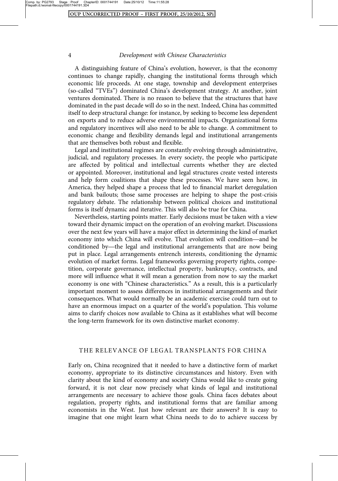## 4 Development with Chinese Characteristics

A distinguishing feature of China's evolution, however, is that the economy continues to change rapidly, changing the institutional forms through which economic life proceeds. At one stage, township and development enterprises (so-called "TVEs") dominated China's development strategy. At another, joint ventures dominated. There is no reason to believe that the structures that have dominated in the past decade will do so in the next. Indeed, China has committed itself to deep structural change: for instance, by seeking to become less dependent on exports and to reduce adverse environmental impacts. Organizational forms and regulatory incentives will also need to be able to change. A commitment to economic change and flexibility demands legal and institutional arrangements that are themselves both robust and flexible.

Legal and institutional regimes are constantly evolving through administrative, judicial, and regulatory processes. In every society, the people who participate are affected by political and intellectual currents whether they are elected or appointed. Moreover, institutional and legal structures create vested interests and help form coalitions that shape these processes. We have seen how, in America, they helped shape a process that led to financial market deregulation and bank bailouts; those same processes are helping to shape the post-crisis regulatory debate. The relationship between political choices and institutional forms is itself dynamic and iterative. This will also be true for China.

Nevertheless, starting points matter. Early decisions must be taken with a view toward their dynamic impact on the operation of an evolving market. Discussions over the next few years will have a major effect in determining the kind of market economy into which China will evolve. That evolution will condition—and be conditioned by—the legal and institutional arrangements that are now being put in place. Legal arrangements entrench interests, conditioning the dynamic evolution of market forms. Legal frameworks governing property rights, competition, corporate governance, intellectual property, bankruptcy, contracts, and more will influence what it will mean a generation from now to say the market economy is one with "Chinese characteristics." As a result, this is a particularly important moment to assess differences in institutional arrangements and their consequences. What would normally be an academic exercise could turn out to have an enormous impact on a quarter of the world's population. This volume aims to clarify choices now available to China as it establishes what will become the long-term framework for its own distinctive market economy.

# THE RELEVANCE OF LEGAL TRANSPLANTS FOR CHINA

Early on, China recognized that it needed to have a distinctive form of market economy, appropriate to its distinctive circumstances and history. Even with clarity about the kind of economy and society China would like to create going forward, it is not clear now precisely what kinds of legal and institutional arrangements are necessary to achieve those goals. China faces debates about regulation, property rights, and institutional forms that are familiar among economists in the West. Just how relevant are their answers? It is easy to imagine that one might learn what China needs to do to achieve success by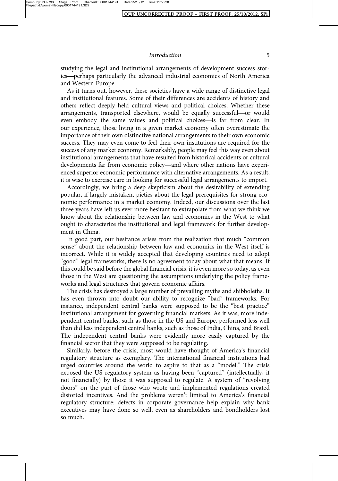## Introduction 5

studying the legal and institutional arrangements of development success stories—perhaps particularly the advanced industrial economies of North America and Western Europe.

As it turns out, however, these societies have a wide range of distinctive legal and institutional features. Some of their differences are accidents of history and others reflect deeply held cultural views and political choices. Whether these arrangements, transported elsewhere, would be equally successful—or would even embody the same values and political choices—is far from clear. In our experience, those living in a given market economy often overestimate the importance of their own distinctive national arrangements to their own economic success. They may even come to feel their own institutions are required for the success of any market economy. Remarkably, people may feel this way even about institutional arrangements that have resulted from historical accidents or cultural developments far from economic policy—and where other nations have experienced superior economic performance with alternative arrangements. As a result, it is wise to exercise care in looking for successful legal arrangements to import.

Accordingly, we bring a deep skepticism about the desirability of extending popular, if largely mistaken, pieties about the legal prerequisites for strong economic performance in a market economy. Indeed, our discussions over the last three years have left us ever more hesitant to extrapolate from what we think we know about the relationship between law and economics in the West to what ought to characterize the institutional and legal framework for further development in China.

In good part, our hesitance arises from the realization that much "common sense" about the relationship between law and economics in the West itself is incorrect. While it is widely accepted that developing countries need to adopt "good" legal frameworks, there is no agreement today about what that means. If this could be said before the global financial crisis, it is even more so today, as even those in the West are questioning the assumptions underlying the policy frameworks and legal structures that govern economic affairs.

The crisis has destroyed a large number of prevailing myths and shibboleths. It has even thrown into doubt our ability to recognize "bad" frameworks. For instance, independent central banks were supposed to be the "best practice" institutional arrangement for governing financial markets. As it was, more independent central banks, such as those in the US and Europe, performed less well than did less independent central banks, such as those of India, China, and Brazil. The independent central banks were evidently more easily captured by the financial sector that they were supposed to be regulating.

Similarly, before the crisis, most would have thought of America's financial regulatory structure as exemplary. The international financial institutions had urged countries around the world to aspire to that as a "model." The crisis exposed the US regulatory system as having been "captured" (intellectually, if not financially) by those it was supposed to regulate. A system of "revolving doors" on the part of those who wrote and implemented regulations created distorted incentives. And the problems weren't limited to America's financial regulatory structure: defects in corporate governance help explain why bank executives may have done so well, even as shareholders and bondholders lost so much.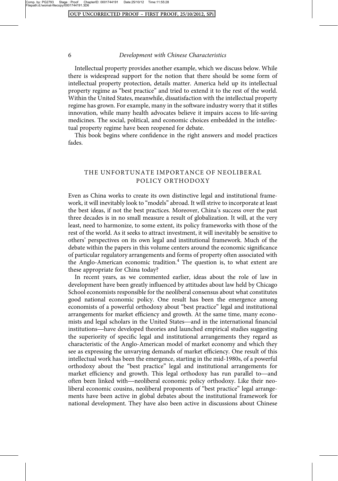## 6 Development with Chinese Characteristics

Intellectual property provides another example, which we discuss below. While there is widespread support for the notion that there should be some form of intellectual property protection, details matter. America held up its intellectual property regime as "best practice" and tried to extend it to the rest of the world. Within the United States, meanwhile, dissatisfaction with the intellectual property regime has grown. For example, many in the software industry worry that it stifles innovation, while many health advocates believe it impairs access to life-saving medicines. The social, political, and economic choices embedded in the intellectual property regime have been reopened for debate.

This book begins where confidence in the right answers and model practices fades.

# THE UNFORTUNATE IMPORTANCE OF NEOLIBERAL POLICY ORTHODOXY

Even as China works to create its own distinctive legal and institutional framework, it will inevitably look to "models" abroad. It will strive to incorporate at least the best ideas, if not the best practices. Moreover, China's success over the past three decades is in no small measure a result of globalization. It will, at the very least, need to harmonize, to some extent, its policy frameworks with those of the rest of the world. As it seeks to attract investment, it will inevitably be sensitive to others' perspectives on its own legal and institutional framework. Much of the debate within the papers in this volume centers around the economic significance of particular regulatory arrangements and forms of property often associated with the Anglo-American economic tradition.<sup>4</sup> The question is, to what extent are these appropriate for China today?

In recent years, as we commented earlier, ideas about the role of law in development have been greatly influenced by attitudes about law held by Chicago School economists responsible for the neoliberal consensus about what constitutes good national economic policy. One result has been the emergence among economists of a powerful orthodoxy about "best practice" legal and institutional arrangements for market efficiency and growth. At the same time, many economists and legal scholars in the United States—and in the international financial institutions—have developed theories and launched empirical studies suggesting the superiority of specific legal and institutional arrangements they regard as characteristic of the Anglo-American model of market economy and which they see as expressing the unvarying demands of market efficiency. One result of this intellectual work has been the emergence, starting in the mid-1980s, of a powerful orthodoxy about the "best practice" legal and institutional arrangements for market efficiency and growth. This legal orthodoxy has run parallel to—and often been linked with—neoliberal economic policy orthodoxy. Like their neoliberal economic cousins, neoliberal proponents of "best practice" legal arrangements have been active in global debates about the institutional framework for national development. They have also been active in discussions about Chinese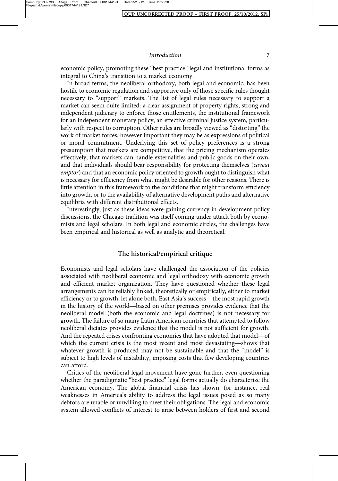## Introduction 7

economic policy, promoting these "best practice" legal and institutional forms as integral to China's transition to a market economy.

In broad terms, the neoliberal orthodoxy, both legal and economic, has been hostile to economic regulation and supportive only of those specific rules thought necessary to "support" markets. The list of legal rules necessary to support a market can seem quite limited: a clear assignment of property rights, strong and independent judiciary to enforce those entitlements, the institutional framework for an independent monetary policy, an effective criminal justice system, particularly with respect to corruption. Other rules are broadly viewed as "distorting" the work of market forces, however important they may be as expressions of political or moral commitment. Underlying this set of policy preferences is a strong presumption that markets are competitive, that the pricing mechanism operates effectively, that markets can handle externalities and public goods on their own, and that individuals should bear responsibility for protecting themselves (caveat emptor) and that an economic policy oriented to growth ought to distinguish what is necessary for efficiency from what might be desirable for other reasons. There is little attention in this framework to the conditions that might transform efficiency into growth, or to the availability of alternative development paths and alternative equilibria with different distributional effects.

Interestingly, just as these ideas were gaining currency in development policy discussions, the Chicago tradition was itself coming under attack both by economists and legal scholars. In both legal and economic circles, the challenges have been empirical and historical as well as analytic and theoretical.

# The historical/empirical critique

Economists and legal scholars have challenged the association of the policies associated with neoliberal economic and legal orthodoxy with economic growth and efficient market organization. They have questioned whether these legal arrangements can be reliably linked, theoretically or empirically, either to market efficiency or to growth, let alone both. East Asia's success—the most rapid growth in the history of the world—based on other premises provides evidence that the neoliberal model (both the economic and legal doctrines) is not necessary for growth. The failure of so many Latin American countries that attempted to follow neoliberal dictates provides evidence that the model is not sufficient for growth. And the repeated crises confronting economies that have adopted that model—of which the current crisis is the most recent and most devastating—shows that whatever growth is produced may not be sustainable and that the "model" is subject to high levels of instability, imposing costs that few developing countries can afford.

Critics of the neoliberal legal movement have gone further, even questioning whether the paradigmatic "best practice" legal forms actually do characterize the American economy. The global financial crisis has shown, for instance, real weaknesses in America's ability to address the legal issues posed as so many debtors are unable or unwilling to meet their obligations. The legal and economic system allowed conflicts of interest to arise between holders of first and second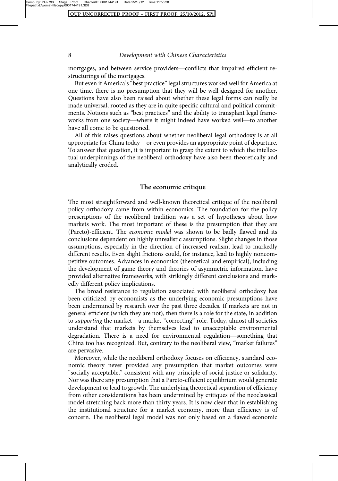## 8 Development with Chinese Characteristics

mortgages, and between service providers—conflicts that impaired efficient restructurings of the mortgages.

But even if America's "best practice" legal structures worked well for America at one time, there is no presumption that they will be well designed for another. Questions have also been raised about whether these legal forms can really be made universal, rooted as they are in quite specific cultural and political commitments. Notions such as "best practices" and the ability to transplant legal frameworks from one society—where it might indeed have worked well—to another have all come to be questioned.

All of this raises questions about whether neoliberal legal orthodoxy is at all appropriate for China today—or even provides an appropriate point of departure. To answer that question, it is important to grasp the extent to which the intellectual underpinnings of the neoliberal orthodoxy have also been theoretically and analytically eroded.

## The economic critique

The most straightforward and well-known theoretical critique of the neoliberal policy orthodoxy came from within economics. The foundation for the policy prescriptions of the neoliberal tradition was a set of hypotheses about how markets work. The most important of these is the presumption that they are (Pareto)-efficient. The economic model was shown to be badly flawed and its conclusions dependent on highly unrealistic assumptions. Slight changes in those assumptions, especially in the direction of increased realism, lead to markedly different results. Even slight frictions could, for instance, lead to highly noncompetitive outcomes. Advances in economics (theoretical and empirical), including the development of game theory and theories of asymmetric information, have provided alternative frameworks, with strikingly different conclusions and markedly different policy implications.

The broad resistance to regulation associated with neoliberal orthodoxy has been criticized by economists as the underlying economic presumptions have been undermined by research over the past three decades. If markets are not in general efficient (which they are not), then there is a role for the state, in addition to supporting the market—a market-"correcting" role. Today, almost all societies understand that markets by themselves lead to unacceptable environmental degradation. There is a need for environmental regulation—something that China too has recognized. But, contrary to the neoliberal view, "market failures" are pervasive.

Moreover, while the neoliberal orthodoxy focuses on efficiency, standard economic theory never provided any presumption that market outcomes were "socially acceptable," consistent with any principle of social justice or solidarity. Nor was there any presumption that a Pareto-efficient equilibrium would generate development or lead to growth. The underlying theoretical separation of efficiency from other considerations has been undermined by critiques of the neoclassical model stretching back more than thirty years. It is now clear that in establishing the institutional structure for a market economy, more than efficiency is of concern. The neoliberal legal model was not only based on a flawed economic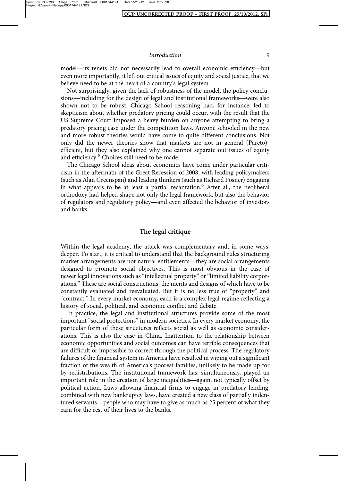## Introduction 9

model—its tenets did not necessarily lead to overall economic efficiency—but even more importantly, it left out critical issues of equity and social justice, that we believe need to be at the heart of a country's legal system.

Not surprisingly, given the lack of robustness of the model, the policy conclusions—including for the design of legal and institutional frameworks—were also shown not to be robust. Chicago School reasoning had, for instance, led to skepticism about whether predatory pricing could occur, with the result that the US Supreme Court imposed a heavy burden on anyone attempting to bring a predatory pricing case under the competition laws. Anyone schooled in the new and more robust theories would have come to quite different conclusions. Not only did the newer theories show that markets are not in general (Pareto) efficient, but they also explained why one cannot separate out issues of equity and efficiency.<sup>5</sup> Choices still need to be made.

The Chicago School ideas about economics have come under particular criticism in the aftermath of the Great Recession of 2008, with leading policymakers (such as Alan Greenspan) and leading thinkers (such as Richard Posner) engaging in what appears to be at least a partial recantation.<sup>6</sup> After all, the neoliberal orthodoxy had helped shape not only the legal framework, but also the behavior of regulators and regulatory policy—and even affected the behavior of investors and banks.

# $\sigma$  is a legal critical critical critical critical critical critical critical critical critical critical critical critical critical critical critical critical critical critical critical critical critical critical critica

Within the legal academy, the attack was complementary and, in some ways, deeper. To start, it is critical to understand that the background rules structuring market arrangements are not natural entitlements—they are social arrangements designed to promote social objectives. This is most obvious in the case of newer legal innovations such as "intellectual property" or "limited liability corporations." These are social constructions, the merits and designs of which have to be constantly evaluated and reevaluated. But it is no less true of "property" and "contract." In every market economy, each is a complex legal regime reflecting a history of social, political, and economic conflict and debate.

In practice, the legal and institutional structures provide some of the most important "social protections" in modern societies. In every market economy, the particular form of these structures reflects social as well as economic considerations. This is also the case in China. Inattention to the relationship between economic opportunities and social outcomes can have terrible consequences that are difficult or impossible to correct through the political process. The regulatory failures of the financial system in America have resulted in wiping out a significant fraction of the wealth of America's poorest families, unlikely to be made up for by redistributions. The institutional framework has, simultaneously, played an important role in the creation of large inequalities—again, not typically offset by political action. Laws allowing financial firms to engage in predatory lending, combined with new bankruptcy laws, have created a new class of partially indentured servants—people who may have to give as much as 25 percent of what they earn for the rest of their lives to the banks.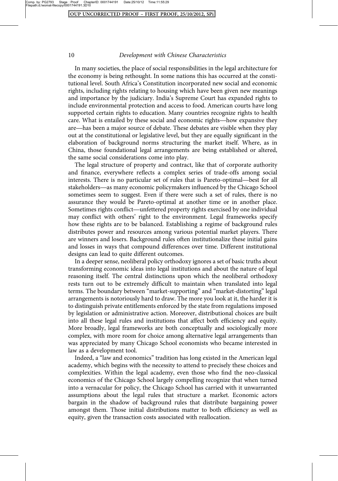## 10 Development with Chinese Characteristics

In many societies, the place of social responsibilities in the legal architecture for the economy is being rethought. In some nations this has occurred at the constitutional level. South Africa's Constitution incorporated new social and economic rights, including rights relating to housing which have been given new meanings and importance by the judiciary. India's Supreme Court has expanded rights to include environmental protection and access to food. American courts have long supported certain rights to education. Many countries recognize rights to health care. What is entailed by these social and economic rights—how expansive they are—has been a major source of debate. These debates are visible when they play out at the constitutional or legislative level, but they are equally significant in the elaboration of background norms structuring the market itself. Where, as in China, those foundational legal arrangements are being established or altered, the same social considerations come into play.

The legal structure of property and contract, like that of corporate authority and finance, everywhere reflects a complex series of trade-offs among social interests. There is no particular set of rules that is Pareto-optimal—best for all stakeholders—as many economic policymakers influenced by the Chicago School sometimes seem to suggest. Even if there were such a set of rules, there is no assurance they would be Pareto-optimal at another time or in another place. Sometimes rights conflict—unfettered property rights exercised by one individual may conflict with others' right to the environment. Legal frameworks specify how these rights are to be balanced. Establishing a regime of background rules distributes power and resources among various potential market players. There are winners and losers. Background rules often institutionalize these initial gains and losses in ways that compound differences over time. Different institutional designs can lead to quite different outcomes.

In a deeper sense, neoliberal policy orthodoxy ignores a set of basic truths about transforming economic ideas into legal institutions and about the nature of legal reasoning itself. The central distinctions upon which the neoliberal orthodoxy rests turn out to be extremely difficult to maintain when translated into legal terms. The boundary between "market-supporting" and "market-distorting" legal arrangements is notoriously hard to draw. The more you look at it, the harder it is to distinguish private entitlements enforced by the state from regulations imposed by legislation or administrative action. Moreover, distributional choices are built into all these legal rules and institutions that affect both efficiency and equity. More broadly, legal frameworks are both conceptually and sociologically more complex, with more room for choice among alternative legal arrangements than was appreciated by many Chicago School economists who became interested in law as a development tool.

Indeed, a "law and economics" tradition has long existed in the American legal academy, which begins with the necessity to attend to precisely these choices and complexities. Within the legal academy, even those who find the neo-classical economics of the Chicago School largely compelling recognize that when turned into a vernacular for policy, the Chicago School has carried with it unwarranted assumptions about the legal rules that structure a market. Economic actors bargain in the shadow of background rules that distribute bargaining power amongst them. Those initial distributions matter to both efficiency as well as equity, given the transaction costs associated with reallocation.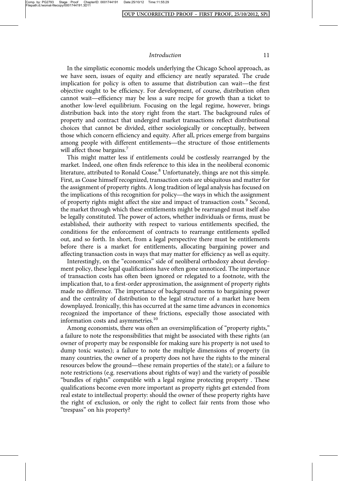## Introduction 11

In the simplistic economic models underlying the Chicago School approach, as we have seen, issues of equity and efficiency are neatly separated. The crude implication for policy is often to assume that distribution can wait—the first objective ought to be efficiency. For development, of course, distribution often cannot wait—efficiency may be less a sure recipe for growth than a ticket to another low-level equilibrium. Focusing on the legal regime, however, brings distribution back into the story right from the start. The background rules of property and contract that undergird market transactions reflect distributional choices that cannot be divided, either sociologically or conceptually, between those which concern efficiency and equity. After all, prices emerge from bargains among people with different entitlements—the structure of those entitlements will affect those bargains.<sup>7</sup>

This might matter less if entitlements could be costlessly rearranged by the market. Indeed, one often finds reference to this idea in the neoliberal economic literature, attributed to Ronald Coase. $8$  Unfortunately, things are not this simple. First, as Coase himself recognized, transaction costs are ubiquitous and matter for the assignment of property rights. A long tradition of legal analysis has focused on the implications of this recognition for policy—the ways in which the assignment of property rights might affect the size and impact of transaction costs.<sup>9</sup> Second, the market through which these entitlements might be rearranged must itself also be legally constituted. The power of actors, whether individuals or firms, must be established, their authority with respect to various entitlements specified, the conditions for the enforcement of contracts to rearrange entitlements spelled out, and so forth. In short, from a legal perspective there must be entitlements before there is a market for entitlements, allocating bargaining power and affecting transaction costs in ways that may matter for efficiency as well as equity.

Interestingly, on the "economics" side of neoliberal orthodoxy about development policy, these legal qualifications have often gone unnoticed. The importance of transaction costs has often been ignored or relegated to a footnote, with the implication that, to a first-order approximation, the assignment of property rights made no difference. The importance of background norms to bargaining power and the centrality of distribution to the legal structure of a market have been downplayed. Ironically, this has occurred at the same time advances in economics recognized the importance of these frictions, especially those associated with information costs and asymmetries.<sup>10</sup>

Among economists, there was often an oversimplification of "property rights," a failure to note the responsibilities that might be associated with these rights (an owner of property may be responsible for making sure his property is not used to dump toxic wastes); a failure to note the multiple dimensions of property (in many countries, the owner of a property does not have the rights to the mineral resources below the ground—these remain properties of the state); or a failure to note restrictions (e.g. reservations about rights of way) and the variety of possible "bundles of rights" compatible with a legal regime protecting property . These qualifications become even more important as property rights get extended from real estate to intellectual property: should the owner of these property rights have the right of exclusion, or only the right to collect fair rents from those who "trespass" on his property?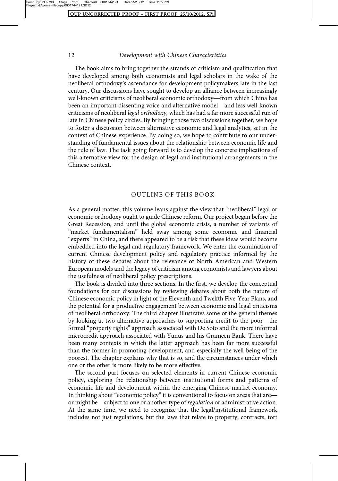## 12 Development with Chinese Characteristics

The book aims to bring together the strands of criticism and qualification that have developed among both economists and legal scholars in the wake of the neoliberal orthodoxy's ascendance for development policymakers late in the last century. Our discussions have sought to develop an alliance between increasingly well-known criticisms of neoliberal economic orthodoxy—from which China has been an important dissenting voice and alternative model—and less well-known criticisms of neoliberal legal orthodoxy, which has had a far more successful run of late in Chinese policy circles. By bringing those two discussions together, we hope to foster a discussion between alternative economic and legal analytics, set in the context of Chinese experience. By doing so, we hope to contribute to our understanding of fundamental issues about the relationship between economic life and the rule of law. The task going forward is to develop the concrete implications of this alternative view for the design of legal and institutional arrangements in the Chinese context.

## OUTLINE OF THIS BOOK

As a general matter, this volume leans against the view that "neoliberal" legal or economic orthodoxy ought to guide Chinese reform. Our project began before the Great Recession, and until the global economic crisis, a number of variants of "market fundamentalism" held sway among some economic and financial "experts" in China, and there appeared to be a risk that these ideas would become embedded into the legal and regulatory framework. We enter the examination of current Chinese development policy and regulatory practice informed by the history of these debates about the relevance of North American and Western European models and the legacy of criticism among economists and lawyers about the usefulness of neoliberal policy prescriptions.

The book is divided into three sections. In the first, we develop the conceptual foundations for our discussions by reviewing debates about both the nature of Chinese economic policy in light of the Eleventh and Twelfth Five-Year Plans, and the potential for a productive engagement between economic and legal criticisms of neoliberal orthodoxy. The third chapter illustrates some of the general themes by looking at two alternative approaches to supporting credit to the poor—the formal "property rights" approach associated with De Soto and the more informal microcredit approach associated with Yunus and his Grameen Bank. There have been many contexts in which the latter approach has been far more successful than the former in promoting development, and especially the well-being of the poorest. The chapter explains why that is so, and the circumstances under which one or the other is more likely to be more effective.

The second part focuses on selected elements in current Chinese economic policy, exploring the relationship between institutional forms and patterns of economic life and development within the emerging Chinese market economy. In thinking about "economic policy" it is conventional to focus on areas that are or might be—subject to one or another type of regulation or administrative action. At the same time, we need to recognize that the legal/institutional framework includes not just regulations, but the laws that relate to property, contracts, tort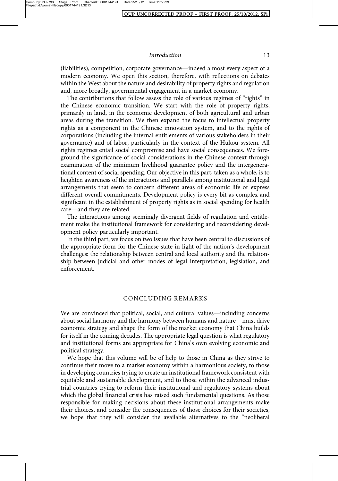## Introduction 13

(liabilities), competition, corporate governance—indeed almost every aspect of a modern economy. We open this section, therefore, with reflections on debates within the West about the nature and desirability of property rights and regulation and, more broadly, governmental engagement in a market economy.

The contributions that follow assess the role of various regimes of "rights" in the Chinese economic transition. We start with the role of property rights, primarily in land, in the economic development of both agricultural and urban areas during the transition. We then expand the focus to intellectual property rights as a component in the Chinese innovation system, and to the rights of corporations (including the internal entitlements of various stakeholders in their governance) and of labor, particularly in the context of the Hukou system. All rights regimes entail social compromise and have social consequences. We foreground the significance of social considerations in the Chinese context through examination of the minimum livelihood guarantee policy and the intergenerational content of social spending. Our objective in this part, taken as a whole, is to heighten awareness of the interactions and parallels among institutional and legal arrangements that seem to concern different areas of economic life or express different overall commitments. Development policy is every bit as complex and significant in the establishment of property rights as in social spending for health care—and they are related.

The interactions among seemingly divergent fields of regulation and entitlement make the institutional framework for considering and reconsidering development policy particularly important.

In the third part, we focus on two issues that have been central to discussions of the appropriate form for the Chinese state in light of the nation's development challenges: the relationship between central and local authority and the relationship between judicial and other modes of legal interpretation, legislation, and enforcement.

## CONCLUDING REMARKS

We are convinced that political, social, and cultural values—including concerns about social harmony and the harmony between humans and nature—must drive economic strategy and shape the form of the market economy that China builds for itself in the coming decades. The appropriate legal question is what regulatory and institutional forms are appropriate for China's own evolving economic and political strategy.

We hope that this volume will be of help to those in China as they strive to continue their move to a market economy within a harmonious society, to those in developing countries trying to create an institutional framework consistent with equitable and sustainable development, and to those within the advanced industrial countries trying to reform their institutional and regulatory systems about which the global financial crisis has raised such fundamental questions. As those responsible for making decisions about these institutional arrangements make their choices, and consider the consequences of those choices for their societies, we hope that they will consider the available alternatives to the "neoliberal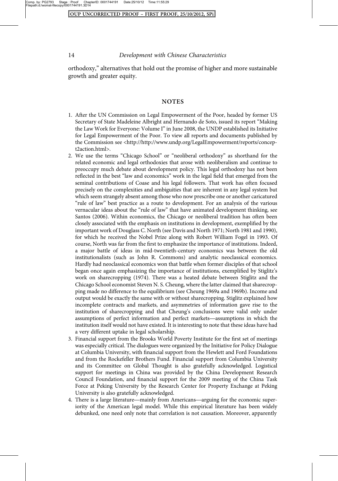#### 14 Development with Chinese Characteristics

orthodoxy," alternatives that hold out the promise of higher and more sustainable growth and greater equity.

#### **NOTES** NOTES

- 1. After the UN Commission on Legal Empowerment of the Poor, headed by former US Secretary of State Madeleine Albright and Hernando de Soto, issued its report "Making the Law Work for Everyone: Volume I" in June 2008, the UNDP established its Initiative for Legal Empowerment of the Poor. To view all reports and documents published by the Commission see <http://http://www.undp.org/LegalEmpowerment/reports/concept2action.html>.
- 2. We use the terms "Chicago School" or "neoliberal orthodoxy" as shorthand for the related economic and legal orthodoxies that arose with neoliberalism and continue to preoccupy much debate about development policy. This legal orthodoxy has not been reflected in the best "law and economics" work in the legal field that emerged from the seminal contributions of Coase and his legal followers. That work has often focused precisely on the complexities and ambiguities that are inherent in any legal system but which seem strangely absent among those who now prescribe one or another caricatured "rule of law" best practice as a route to development. For an analysis of the various vernacular ideas about the "rule of law" that have animated development thinking, see Santos (2006). Within economics, the Chicago or neoliberal tradition has often been closely associated with the emphasis on institutions in development, exemplified by the important work of Douglass C. North (see Davis and North 1971; North 1981 and 1990), for which he received the Nobel Prize along with Robert William Fogel in 1993. Of course, North was far from the first to emphasize the importance of institutions. Indeed, a major battle of ideas in mid-twentieth-century economics was between the old institutionalists (such as John R. Commons) and analytic neoclassical economics. Hardly had neoclassical economics won that battle when former disciples of that school began once again emphasizing the importance of institutions, exemplified by Stiglitz's work on sharecropping (1974). There was a heated debate between Stiglitz and the Chicago School economist Steven N. S. Cheung, where the latter claimed that sharecropping made no difference to the equilibrium (see Cheung 1969a and 1969b). Income and output would be exactly the same with or without sharecropping. Stiglitz explained how incomplete contracts and markets, and asymmetries of information gave rise to the institution of sharecropping and that Cheung's conclusions were valid only under assumptions of perfect information and perfect markets—assumptions in which the institution itself would not have existed. It is interesting to note that these ideas have had a very different uptake in legal scholarship.
- 3. Financial support from the Brooks World Poverty Institute for the first set of meetings was especially critical. The dialogues were organized by the Initiative for Policy Dialogue at Columbia University, with financial support from the Hewlett and Ford Foundations and from the Rockefeller Brothers Fund. Financial support from Columbia University and its Committee on Global Thought is also gratefully acknowledged. Logistical support for meetings in China was provided by the China Development Research Council Foundation, and financial support for the 2009 meeting of the China Task Force at Peking University by the Research Center for Property Exchange at Peking University is also gratefully acknowledged.
- 4. There is a large literature—mainly from Americans—arguing for the economic superiority of the American legal model. While this empirical literature has been widely debunked, one need only note that correlation is not causation. Moreover, apparently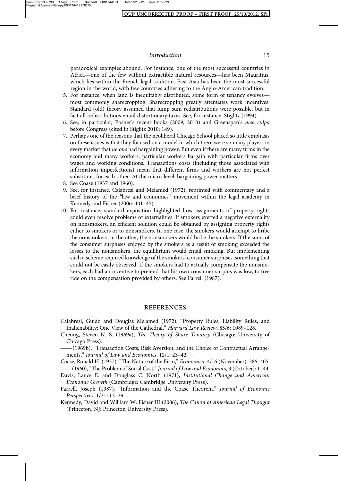## Introduction 15

paradoxical examples abound. For instance, one of the most successful countries in Africa—one of the few without extractible natural resources—has been Mauritius, which lies within the French legal tradition. East Asia has been the most successful region in the world, with few countries adhering to the Anglo-American tradition.

- 5. For instance, when land is inequitably distributed, some form of tenancy evolves most commonly sharecropping. Sharecropping greatly attenuates work incentives. Standard (old) theory assumed that lump sum redistributions were possible, but in fact all redistributions entail distortionary taxes. See, for instance, Stiglitz (1994).
- 6. See, in particular, Posner's recent books (2009, 2010) and Greenspan's mea culpa before Congress (cited in Stiglitz 2010: 149).
- 7. Perhaps one of the reasons that the neoliberal Chicago School placed so little emphasis on these issues is that they focused on a model in which there were so many players in every market that no one had bargaining power. But even if there are many firms in the economy and many workers, particular workers bargain with particular firms over wages and working conditions. Transactions costs (including those associated with information imperfections) mean that different firms and workers are not perfect substitutes for each other. At the micro-level, bargaining power matters.
- 8. See Coase (1937 and 1960).
- 9. See, for instance, Calabresi and Melamed (1972), reprinted with commentary and a brief history of the "law and economics" movement within the legal academy in Kennedy and Fisher (2006: 401–45).
- 10. For instance, standard exposition highlighted how assignments of property rights could even resolve problems of externalities. If smokers exerted a negative externality on nonsmokers, an efficient solution could be obtained by assigning property rights either to smokers or to nonsmokers. In one case, the smokers would attempt to bribe the nonsmokers; in the other, the nonsmokers would bribe the smokers. If the sums of the consumer surpluses enjoyed by the smokers as a result of smoking exceeded the losses to the nonsmokers, the equilibrium would entail smoking. But implementing such a scheme required knowledge of the smokers' consumer surpluses, something that could not be easily observed. If the smokers had to actually compensate the nonsmokers, each had an incentive to pretend that his own consumer surplus was low, to free ride on the compensation provided by others. See Farrell (1987).

# REFERENCES

- Calabresi, Guido and Douglas Melamed (1972), "Property Rules, Liability Rules, and Inalienability: One View of the Cathedral," Harvard Law Review, 85/6: 1089–128.
- Cheung, Steven N. S. (1969a), The Theory of Share Tenancy (Chicago: University of Chicago Press).
- -(1969b), "Transaction Costs, Risk Aversion, and the Choice of Contractual Arrangements," Journal of Law and Economics, 12/1: 23–42.

Coase, Ronald H. (1937), "The Nature of the Firm," Economica, 4/16 (November): 386–405. -(1960), "The Problem of Social Cost," Journal of Law and Economics, 3 (October): 1-44.

Davis, Lance E. and Douglass C. North (1971), Institutional Change and American Economic Growth (Cambridge: Cambridge University Press).

Farrell, Joseph (1987), "Information and the Coase Theorem," Journal of Economic Perspectives, 1/2: 113–29.

Kennedy, David and William W. Fisher III (2006), The Canon of American Legal Thought (Princeton, NJ: Princeton University Press).